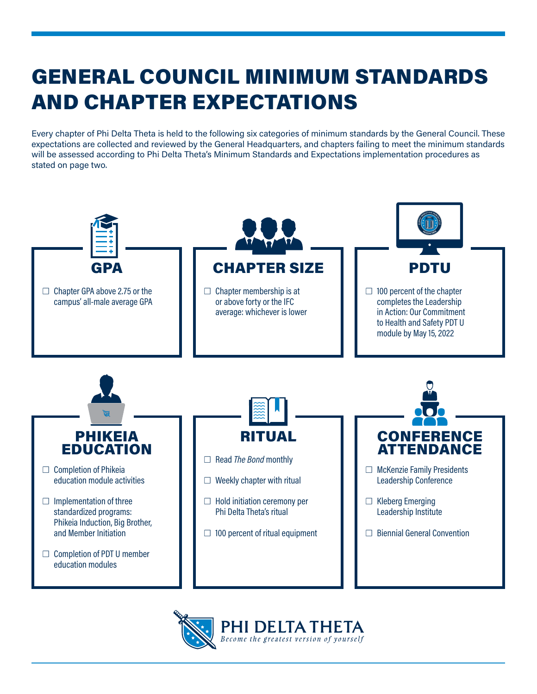# GENERAL COUNCIL MINIMUM STANDARDS AND CHAPTER EXPECTATIONS

Every chapter of Phi Delta Theta is held to the following six categories of minimum standards by the General Council. These expectations are collected and reviewed by the General Headquarters, and chapters failing to meet the minimum standards will be assessed according to Phi Delta Theta's Minimum Standards and Expectations implementation procedures as stated on page two.